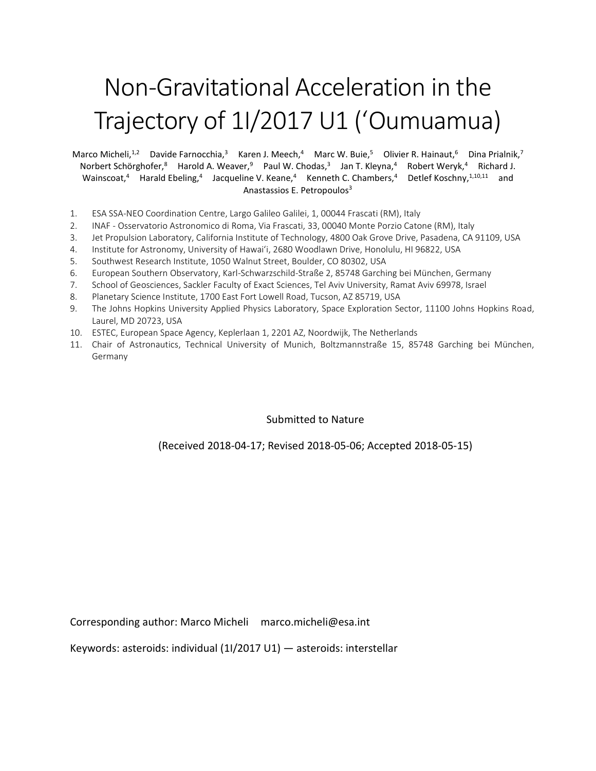# Non-Gravitational Acceleration in the Trajectory of 1I/2017 U1 (ʻOumuamua)

Marco Micheli,<sup>1,2</sup> Davide Farnocchia,<sup>3</sup> Karen J. Meech,<sup>4</sup> Marc W. Buie,<sup>5</sup> Olivier R. Hainaut,<sup>6</sup> Dina Prialnik,<sup>7</sup> Norbert Schörghofer,<sup>8</sup> Harold A. Weaver,<sup>9</sup> Paul W. Chodas,<sup>3</sup> Jan T. Kleyna,<sup>4</sup> Robert Weryk,<sup>4</sup> Richard J. Wainscoat,<sup>4</sup> Harald Ebeling,<sup>4</sup> Jacqueline V. Keane,<sup>4</sup> Kenneth C. Chambers,<sup>4</sup> Detlef Koschny,<sup>1,10,11</sup> and Anastassios E. Petropoulos<sup>3</sup>

- 1. ESA SSA-NEO Coordination Centre, Largo Galileo Galilei, 1, 00044 Frascati (RM), Italy
- 2. INAF Osservatorio Astronomico di Roma, Via Frascati, 33, 00040 Monte Porzio Catone (RM), Italy
- 3. Jet Propulsion Laboratory, California Institute of Technology, 4800 Oak Grove Drive, Pasadena, CA 91109, USA
- 4. Institute for Astronomy, University of Hawaiʻi, 2680 Woodlawn Drive, Honolulu, HI 96822, USA
- 5. Southwest Research Institute, 1050 Walnut Street, Boulder, CO 80302, USA
- 6. European Southern Observatory, Karl-Schwarzschild-Straße 2, 85748 Garching bei München, Germany
- 7. School of Geosciences, Sackler Faculty of Exact Sciences, Tel Aviv University, Ramat Aviv 69978, Israel
- 8. Planetary Science Institute, 1700 East Fort Lowell Road, Tucson, AZ 85719, USA
- 9. The Johns Hopkins University Applied Physics Laboratory, Space Exploration Sector, 11100 Johns Hopkins Road, Laurel, MD 20723, USA
- 10. ESTEC, European Space Agency, Keplerlaan 1, 2201 AZ, Noordwijk, The Netherlands
- 11. Chair of Astronautics, Technical University of Munich, Boltzmannstraße 15, 85748 Garching bei München, Germany

#### Submitted to Nature

(Received 2018-04-17; Revised 2018-05-06; Accepted 2018-05-15)

Corresponding author: Marco Micheli marco.micheli@esa.int

Keywords: asteroids: individual (1I/2017 U1) — asteroids: interstellar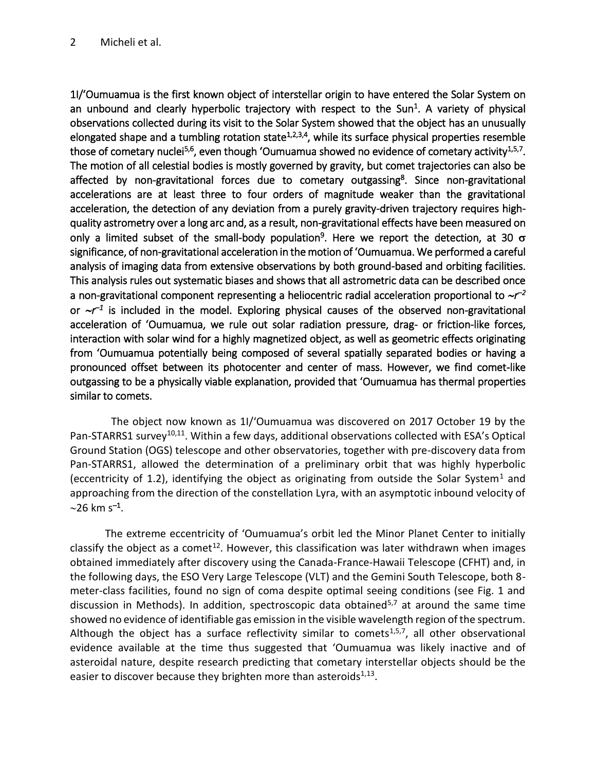1I/ʻOumuamua is the first known object of interstellar origin to have entered the Solar System on an unbound and clearly hyperbolic trajectory with respect to the Sun<sup>1</sup>. A variety of physical observations collected during its visit to the Solar System showed that the object has an unusually elongated shape and a tumbling rotation state<sup>1,2,3,4</sup>, while its surface physical properties resemble those of cometary nuclei<sup>5,6</sup>, even though 'Oumuamua showed no evidence of cometary activity<sup>1,5,7</sup>. The motion of all celestial bodies is mostly governed by gravity, but comet trajectories can also be affected by non-gravitational forces due to cometary outgassing<sup>8</sup>. Since non-gravitational accelerations are at least three to four orders of magnitude weaker than the gravitational acceleration, the detection of any deviation from a purely gravity-driven trajectory requires highquality astrometry over a long arc and, as a result, non-gravitational effects have been measured on only a limited subset of the small-body population<sup>9</sup>. Here we report the detection, at 30  $\sigma$ significance, of non-gravitational acceleration in the motion of ʻOumuamua. We performed a careful analysis of imaging data from extensive observations by both ground-based and orbiting facilities. This analysis rules out systematic biases and shows that all astrometric data can be described once a non-gravitational component representing a heliocentric radial acceleration proportional to  $\sim$ r<sup>-2</sup> or  $\sim$ *r*<sup>-1</sup> is included in the model. Exploring physical causes of the observed non-gravitational acceleration of ʻOumuamua, we rule out solar radiation pressure, drag- or friction-like forces, interaction with solar wind for a highly magnetized object, as well as geometric effects originating from ʻOumuamua potentially being composed of several spatially separated bodies or having a pronounced offset between its photocenter and center of mass. However, we find comet-like outgassing to be a physically viable explanation, provided that ʻOumuamua has thermal properties similar to comets.

The object now known as 1I/ʻOumuamua was discovered on 2017 October 19 by the Pan-STARRS1 survey<sup>10,11</sup>. Within a few days, additional observations collected with ESA's Optical Ground Station (OGS) telescope and other observatories, together with pre-discovery data from Pan-STARRS1, allowed the determination of a preliminary orbit that was highly hyperbolic (eccentricity of 1.2), identifying the object as originating from outside the Solar System<sup>1</sup> and approaching from the direction of the constellation Lyra, with an asymptotic inbound velocity of 26 km s*–*<sup>1</sup> .

The extreme eccentricity of ʻOumuamua's orbit led the Minor Planet Center to initially classify the object as a comet<sup>12</sup>. However, this classification was later withdrawn when images obtained immediately after discovery using the Canada-France-Hawaii Telescope (CFHT) and, in the following days, the ESO Very Large Telescope (VLT) and the Gemini South Telescope, both 8 meter-class facilities, found no sign of coma despite optimal seeing conditions (see Fig. 1 and discussion in Methods). In addition, spectroscopic data obtained<sup>5,7</sup> at around the same time showed no evidence of identifiable gas emission in the visible wavelength region of the spectrum. Although the object has a surface reflectivity similar to comets<sup>1,5,7</sup>, all other observational evidence available at the time thus suggested that ʻOumuamua was likely inactive and of asteroidal nature, despite research predicting that cometary interstellar objects should be the easier to discover because they brighten more than asteroids $^{1,13}$ .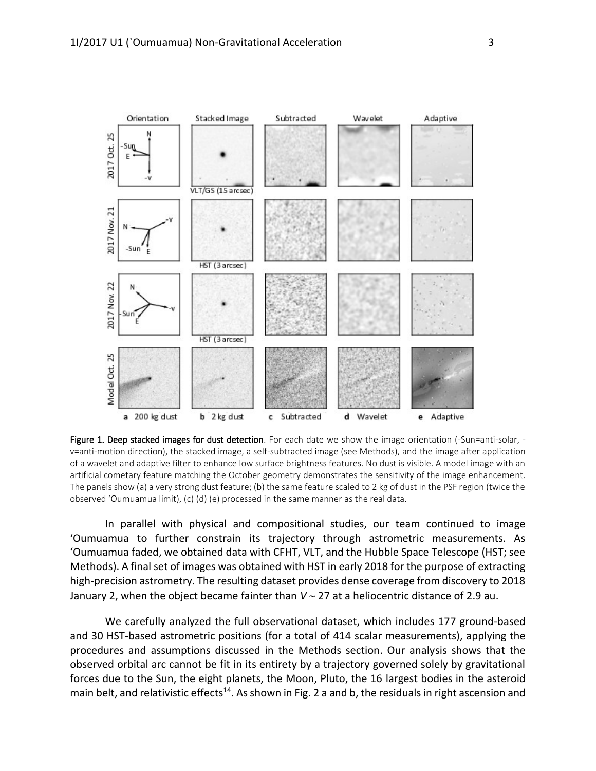

Figure 1. Deep stacked images for dust detection. For each date we show the image orientation (-Sun=anti-solar, v=anti-motion direction), the stacked image, a self-subtracted image (see Methods), and the image after application of a wavelet and adaptive filter to enhance low surface brightness features. No dust is visible. A model image with an artificial cometary feature matching the October geometry demonstrates the sensitivity of the image enhancement. The panels show (a) a very strong dust feature; (b) the same feature scaled to 2 kg of dust in the PSF region (twice the observed ʻOumuamua limit), (c) (d) (e) processed in the same manner as the real data.

In parallel with physical and compositional studies, our team continued to image ʻOumuamua to further constrain its trajectory through astrometric measurements. As ʻOumuamua faded, we obtained data with CFHT, VLT, and the Hubble Space Telescope (HST; see Methods). A final set of images was obtained with HST in early 2018 for the purpose of extracting high-precision astrometry. The resulting dataset provides dense coverage from discovery to 2018 January 2, when the object became fainter than  $V \sim 27$  at a heliocentric distance of 2.9 au.

We carefully analyzed the full observational dataset, which includes 177 ground-based and 30 HST-based astrometric positions (for a total of 414 scalar measurements), applying the procedures and assumptions discussed in the Methods section. Our analysis shows that the observed orbital arc cannot be fit in its entirety by a trajectory governed solely by gravitational forces due to the Sun, the eight planets, the Moon, Pluto, the 16 largest bodies in the asteroid main belt, and relativistic effects<sup>14</sup>. As shown in Fig. 2 a and b, the residuals in right ascension and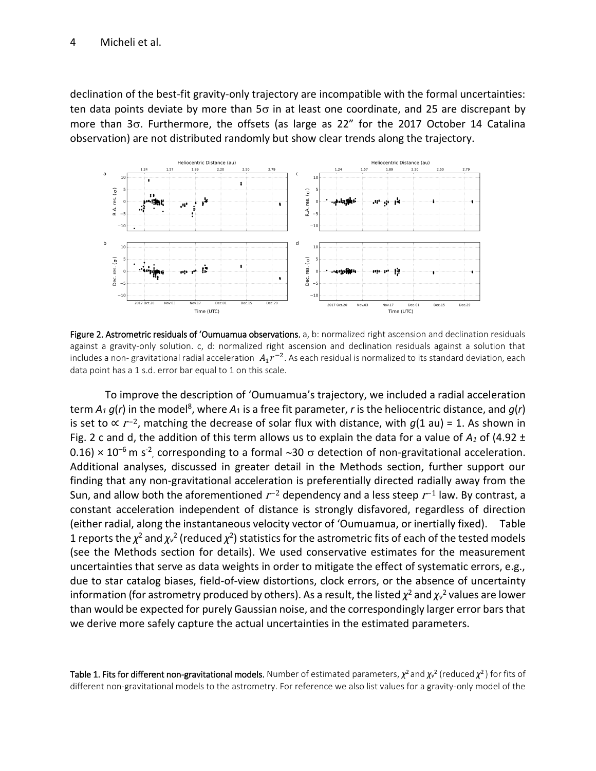declination of the best-fit gravity-only trajectory are incompatible with the formal uncertainties: ten data points deviate by more than  $5\sigma$  in at least one coordinate, and 25 are discrepant by more than  $3\sigma$ . Furthermore, the offsets (as large as  $22''$  for the 2017 October 14 Catalina observation) are not distributed randomly but show clear trends along the trajectory.



Figure 2. Astrometric residuals of 'Oumuamua observations. a, b: normalized right ascension and declination residuals against a gravity-only solution. c, d: normalized right ascension and declination residuals against a solution that includes a non- gravitational radial acceleration  $\ A_1 r^{-2}$ . As each residual is normalized to its standard deviation, each data point has a 1 s.d. error bar equal to 1 on this scale.

To improve the description of ʻOumuamua's trajectory, we included a radial acceleration term  $A_1$   $g$ (*r*) in the model<sup>8</sup>, where  $A_1$  is a free fit parameter, *r* is the heliocentric distance, and  $g$ (*r*) is set to  $\propto r^{-2}$ , matching the decrease of solar flux with distance, with  $g(1 \text{ au}) = 1$ . As shown in Fig. 2 c and d, the addition of this term allows us to explain the data for a value of  $A_1$  of (4.92  $\pm$ 0.16)  $\times$  10<sup>-6</sup> m s<sup>-2</sup>, corresponding to a formal  $\sim$ 30  $\sigma$  detection of non-gravitational acceleration. Additional analyses, discussed in greater detail in the Methods section, further support our finding that any non-gravitational acceleration is preferentially directed radially away from the Sun, and allow both the aforementioned  $r^{-2}$  dependency and a less steep  $r^{-1}$  law. By contrast, a constant acceleration independent of distance is strongly disfavored, regardless of direction (either radial, along the instantaneous velocity vector of ʻOumuamua, or inertially fixed). Table 1 reports the  $\chi^2$  and  $\chi_v^2$  (reduced  $\chi^2$ ) statistics for the astrometric fits of each of the tested models (see the Methods section for details). We used conservative estimates for the measurement uncertainties that serve as data weights in order to mitigate the effect of systematic errors, e.g., due to star catalog biases, field-of-view distortions, clock errors, or the absence of uncertainty information (for astrometry produced by others). As a result, the listed  $\chi^2$  and  $\chi_\nu{}^2$  values are lower than would be expected for purely Gaussian noise, and the correspondingly larger error bars that we derive more safely capture the actual uncertainties in the estimated parameters.

**Table 1. Fits for different non-gravitational models.** Number of estimated parameters,  $\chi^2$  and  $\chi$ <sup>,2</sup> (reduced  $\chi^2$ ) for fits of different non-gravitational models to the astrometry. For reference we also list values for a gravity-only model of the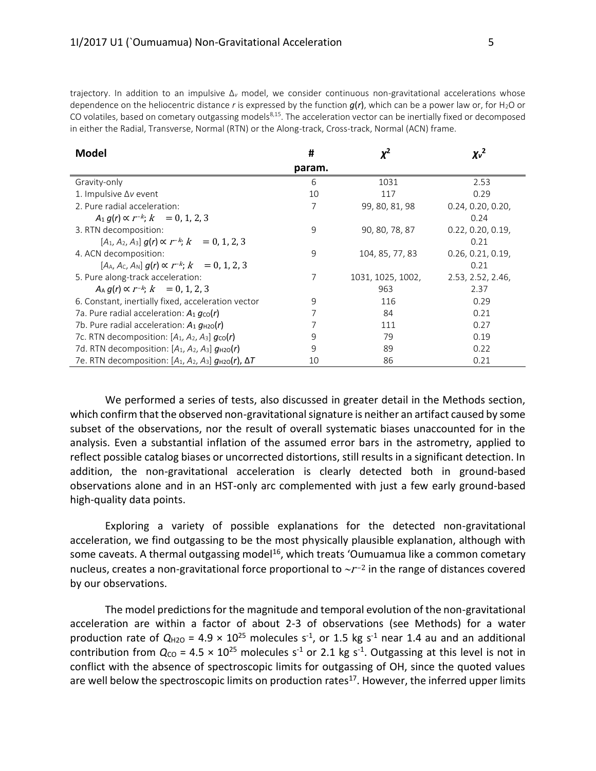trajectory. In addition to an impulsive Δ*<sup>v</sup>* model, we consider continuous non-gravitational accelerations whose dependence on the heliocentric distance *r* is expressed by the function  $g(r)$ , which can be a power law or, for H<sub>2</sub>O or CO volatiles, based on cometary outgassing models $8,15$ . The acceleration vector can be inertially fixed or decomposed in either the Radial, Transverse, Normal (RTN) or the Along-track, Cross-track, Normal (ACN) frame.

| <b>Model</b>                                                       | #      | 2,                | $\chi_v^2$        |
|--------------------------------------------------------------------|--------|-------------------|-------------------|
|                                                                    | param. |                   |                   |
| Gravity-only                                                       | 6      | 1031              | 2.53              |
| 1. Impulsive ∆v event                                              | 10     | 117               | 0.29              |
| 2. Pure radial acceleration:                                       | 7      | 99, 80, 81, 98    | 0.24, 0.20, 0.20, |
| $A_1 q(r) \propto r^{-k}$ ; $k = 0, 1, 2, 3$                       |        |                   | 0.24              |
| 3. RTN decomposition:                                              | 9      | 90, 80, 78, 87    | 0.22, 0.20, 0.19, |
| $[A_1, A_2, A_3]$ a(r) $\propto r^{-k}$ : $k = 0, 1, 2, 3$         |        |                   | 0.21              |
| 4. ACN decomposition:                                              | 9      | 104, 85, 77, 83   | 0.26, 0.21, 0.19, |
| $[A_A, A_C, A_N]$ $q(r) \propto r^{-k}$ ; $k = 0, 1, 2, 3$         |        |                   | 0.21              |
| 5. Pure along-track acceleration:                                  | 7      | 1031, 1025, 1002, | 2.53, 2.52, 2.46, |
| $A_A q(r) \propto r^{-k}$ ; $k = 0, 1, 2, 3$                       |        | 963               | 2.37              |
| 6. Constant, inertially fixed, acceleration vector                 | 9      | 116               | 0.29              |
| 7a. Pure radial acceleration: $A_1 g_{\text{co}}(r)$               |        | 84                | 0.21              |
| 7b. Pure radial acceleration: $A_1 g_{H20}(r)$                     |        | 111               | 0.27              |
| 7c. RTN decomposition: $[A_1, A_2, A_3]$ $g_{\text{co}}(r)$        | 9      | 79                | 0.19              |
| 7d. RTN decomposition: $[A_1, A_2, A_3]$ $q_{H20}(r)$              | 9      | 89                | 0.22              |
| 7e. RTN decomposition: $[A_1, A_2, A_3]$ $g_{H20}(r)$ , $\Delta T$ | 10     | 86                | 0.21              |

We performed a series of tests, also discussed in greater detail in the Methods section, which confirm that the observed non-gravitational signature is neither an artifact caused by some subset of the observations, nor the result of overall systematic biases unaccounted for in the analysis. Even a substantial inflation of the assumed error bars in the astrometry, applied to reflect possible catalog biases or uncorrected distortions, still results in a significant detection. In addition, the non-gravitational acceleration is clearly detected both in ground-based observations alone and in an HST-only arc complemented with just a few early ground-based high-quality data points.

Exploring a variety of possible explanations for the detected non-gravitational acceleration, we find outgassing to be the most physically plausible explanation, although with some caveats. A thermal outgassing model<sup>16</sup>, which treats 'Oumuamua like a common cometary nucleus, creates a non-gravitational force proportional to  $\sim r^{-2}$  in the range of distances covered by our observations.

The model predictions for the magnitude and temporal evolution of the non-gravitational acceleration are within a factor of about 2-3 of observations (see Methods) for a water production rate of  $Q_{H2O}$  = 4.9  $\times$  10<sup>25</sup> molecules s<sup>-1</sup>, or 1.5 kg s<sup>-1</sup> near 1.4 au and an additional contribution from  $Q_{CO}$  = 4.5  $\times$  10<sup>25</sup> molecules s<sup>-1</sup> or 2.1 kg s<sup>-1</sup>. Outgassing at this level is not in conflict with the absence of spectroscopic limits for outgassing of OH, since the quoted values are well below the spectroscopic limits on production rates<sup>17</sup>. However, the inferred upper limits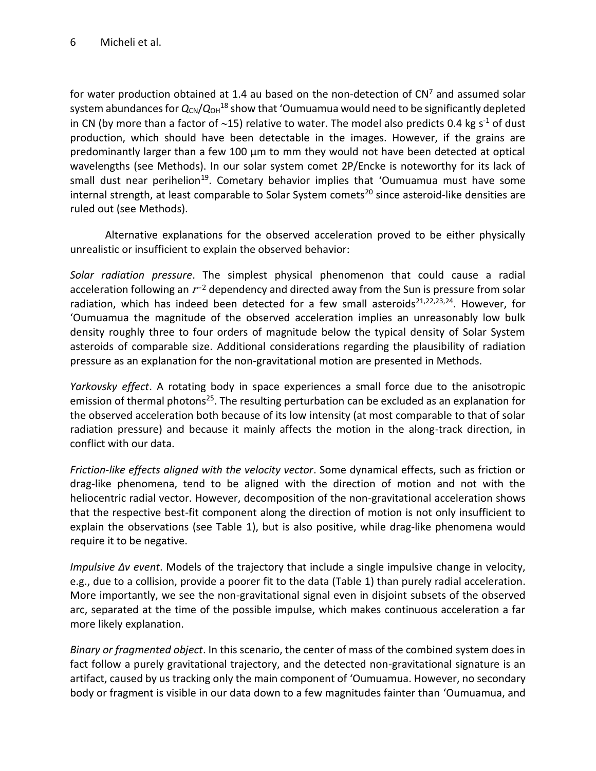### 6 Micheli et al.

for water production obtained at 1.4 au based on the non-detection of  $CN<sup>7</sup>$  and assumed solar system abundances for  $Q_{CN}/Q_{OH}^{18}$  show that 'Oumuamua would need to be significantly depleted in CN (by more than a factor of  $\sim$ 15) relative to water. The model also predicts 0.4 kg s<sup>-1</sup> of dust production, which should have been detectable in the images. However, if the grains are predominantly larger than a few 100  $\mu$ m to mm they would not have been detected at optical wavelengths (see Methods). In our solar system comet 2P/Encke is noteworthy for its lack of small dust near perihelion<sup>19</sup>. Cometary behavior implies that 'Oumuamua must have some internal strength, at least comparable to Solar System comets<sup>20</sup> since asteroid-like densities are ruled out (see Methods).

Alternative explanations for the observed acceleration proved to be either physically unrealistic or insufficient to explain the observed behavior:

*Solar radiation pressure*. The simplest physical phenomenon that could cause a radial acceleration following an  $r$ <sup>-2</sup> dependency and directed away from the Sun is pressure from solar radiation, which has indeed been detected for a few small asteroids<sup>21,22,23,24</sup>. However, for ʻOumuamua the magnitude of the observed acceleration implies an unreasonably low bulk density roughly three to four orders of magnitude below the typical density of Solar System asteroids of comparable size. Additional considerations regarding the plausibility of radiation pressure as an explanation for the non-gravitational motion are presented in Methods.

*Yarkovsky effect*. A rotating body in space experiences a small force due to the anisotropic emission of thermal photons<sup>25</sup>. The resulting perturbation can be excluded as an explanation for the observed acceleration both because of its low intensity (at most comparable to that of solar radiation pressure) and because it mainly affects the motion in the along-track direction, in conflict with our data.

*Friction-like effects aligned with the velocity vector*. Some dynamical effects, such as friction or drag-like phenomena, tend to be aligned with the direction of motion and not with the heliocentric radial vector. However, decomposition of the non-gravitational acceleration shows that the respective best-fit component along the direction of motion is not only insufficient to explain the observations (see Table 1), but is also positive, while drag-like phenomena would require it to be negative.

*Impulsive Δv event*. Models of the trajectory that include a single impulsive change in velocity, e.g., due to a collision, provide a poorer fit to the data (Table 1) than purely radial acceleration. More importantly, we see the non-gravitational signal even in disjoint subsets of the observed arc, separated at the time of the possible impulse, which makes continuous acceleration a far more likely explanation.

*Binary or fragmented object*. In this scenario, the center of mass of the combined system does in fact follow a purely gravitational trajectory, and the detected non-gravitational signature is an artifact, caused by us tracking only the main component of ʻOumuamua. However, no secondary body or fragment is visible in our data down to a few magnitudes fainter than ʻOumuamua, and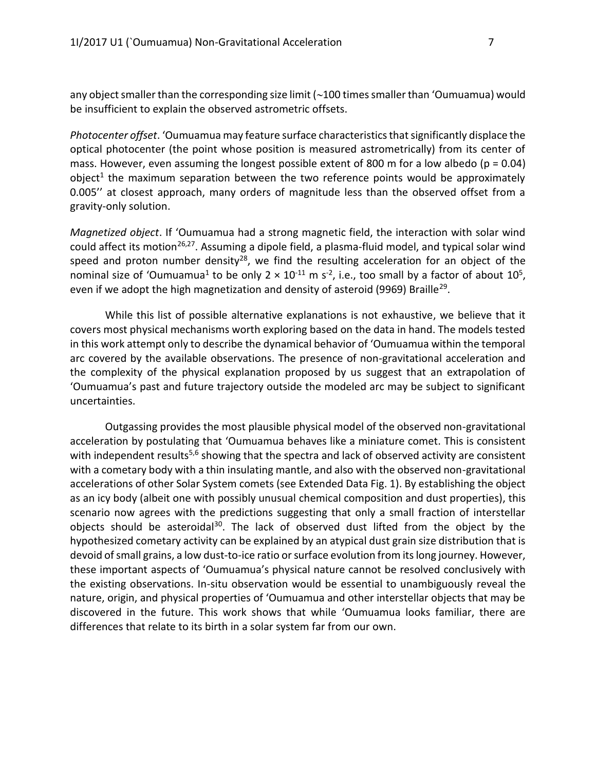any object smaller than the corresponding size limit  $\sim$  100 times smaller than 'Oumuamua) would be insufficient to explain the observed astrometric offsets.

*Photocenter offset*. ʻOumuamua may feature surface characteristics that significantly displace the optical photocenter (the point whose position is measured astrometrically) from its center of mass. However, even assuming the longest possible extent of 800 m for a low albedo ( $p = 0.04$ ) object<sup>1</sup> the maximum separation between the two reference points would be approximately 0.005'' at closest approach, many orders of magnitude less than the observed offset from a gravity-only solution.

*Magnetized object*. If ʻOumuamua had a strong magnetic field, the interaction with solar wind could affect its motion<sup>26,27</sup>. Assuming a dipole field, a plasma-fluid model, and typical solar wind speed and proton number density<sup>28</sup>, we find the resulting acceleration for an object of the nominal size of 'Oumuamua<sup>1</sup> to be only 2  $\times$  10<sup>-11</sup> m s<sup>-2</sup>, i.e., too small by a factor of about 10<sup>5</sup>, even if we adopt the high magnetization and density of asteroid (9969) Braille<sup>29</sup>.

While this list of possible alternative explanations is not exhaustive, we believe that it covers most physical mechanisms worth exploring based on the data in hand. The models tested in this work attempt only to describe the dynamical behavior of ʻOumuamua within the temporal arc covered by the available observations. The presence of non-gravitational acceleration and the complexity of the physical explanation proposed by us suggest that an extrapolation of ʻOumuamua's past and future trajectory outside the modeled arc may be subject to significant uncertainties.

Outgassing provides the most plausible physical model of the observed non-gravitational acceleration by postulating that ʻOumuamua behaves like a miniature comet. This is consistent with independent results<sup>5,6</sup> showing that the spectra and lack of observed activity are consistent with a cometary body with a thin insulating mantle, and also with the observed non-gravitational accelerations of other Solar System comets (see Extended Data Fig. 1). By establishing the object as an icy body (albeit one with possibly unusual chemical composition and dust properties), this scenario now agrees with the predictions suggesting that only a small fraction of interstellar objects should be asteroidal<sup>30</sup>. The lack of observed dust lifted from the object by the hypothesized cometary activity can be explained by an atypical dust grain size distribution that is devoid of small grains, a low dust-to-ice ratio or surface evolution from its long journey. However, these important aspects of ʻOumuamua's physical nature cannot be resolved conclusively with the existing observations. In-situ observation would be essential to unambiguously reveal the nature, origin, and physical properties of ʻOumuamua and other interstellar objects that may be discovered in the future. This work shows that while ʻOumuamua looks familiar, there are differences that relate to its birth in a solar system far from our own.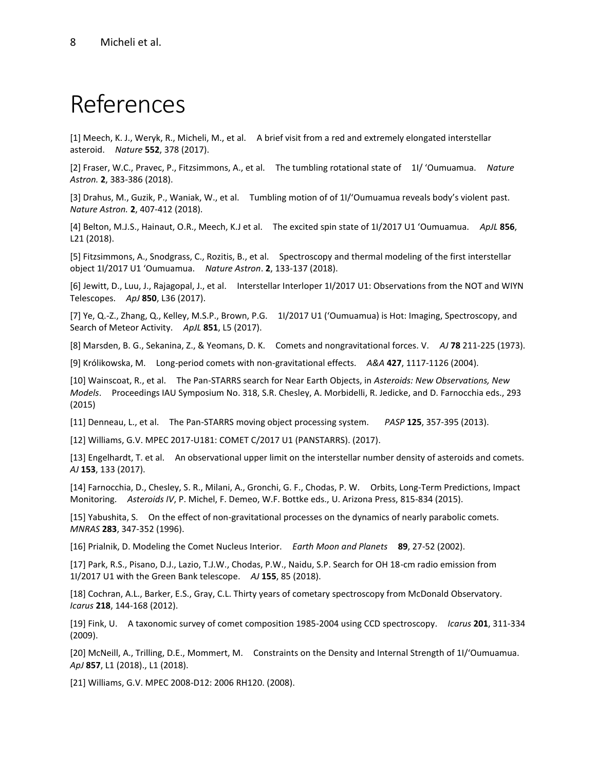## References

[1] Meech, K. J., Weryk, R., Micheli, M., et al. A brief visit from a red and extremely elongated interstellar asteroid. *Nature* **552**, 378 (2017).

[2] Fraser, W.C., Pravec, P., Fitzsimmons, A., et al. The tumbling rotational state of 1I/ ʻOumuamua. *Nature Astron.* **2**, 383-386 (2018).

[3] Drahus, M., Guzik, P., Waniak, W., et al. Tumbling motion of of 1I/ʻOumuamua reveals body's violent past. *Nature Astron.* **2**, 407-412 (2018).

[4] Belton, M.J.S., Hainaut, O.R., Meech, K.J et al. The excited spin state of 1I/2017 U1 ʻOumuamua. *ApJL* **856**, L21 (2018).

[5] Fitzsimmons, A., Snodgrass, C., Rozitis, B., et al. Spectroscopy and thermal modeling of the first interstellar object 1I/2017 U1 ʻOumuamua. *Nature Astron*. **2**, 133-137 (2018).

[6] Jewitt, D., Luu, J., Rajagopal, J., et al. Interstellar Interloper 1I/2017 U1: Observations from the NOT and WIYN Telescopes. *ApJ* **850**, L36 (2017).

[7] Ye, Q.-Z., Zhang, Q., Kelley, M.S.P., Brown, P.G. 1I/2017 U1 (ʻOumuamua) is Hot: Imaging, Spectroscopy, and Search of Meteor Activity. *ApJL* **851**, L5 (2017).

[8] Marsden, B. G., Sekanina, Z., & Yeomans, D. K. Comets and nongravitational forces. V. *AJ* **78** 211-225 (1973).

[9] Królikowska, M. Long-period comets with non-gravitational effects. *A&A* **427**, 1117-1126 (2004).

[10] Wainscoat, R., et al. The Pan-STARRS search for Near Earth Objects, in *Asteroids: New Observations, New Models*. Proceedings IAU Symposium No. 318, S.R. Chesley, A. Morbidelli, R. Jedicke, and D. Farnocchia eds., 293 (2015)

[11] Denneau, L., et al. The Pan-STARRS moving object processing system. *PASP* **125**, 357-395 (2013).

[12] Williams, G.V. MPEC 2017-U181: COMET C/2017 U1 (PANSTARRS). (2017).

[13] Engelhardt, T. et al. An observational upper limit on the interstellar number density of asteroids and comets. *AJ* **153**, 133 (2017).

[14] Farnocchia, D., Chesley, S. R., Milani, A., Gronchi, G. F., Chodas, P. W. Orbits, Long-Term Predictions, Impact Monitoring. *Asteroids IV*, P. Michel, F. Demeo, W.F. Bottke eds., U. Arizona Press, 815-834 (2015).

[15] Yabushita, S. On the effect of non-gravitational processes on the dynamics of nearly parabolic comets. *MNRAS* **283**, 347-352 (1996).

[16] Prialnik, D. Modeling the Comet Nucleus Interior. *Earth Moon and Planets* **89**, 27-52 (2002).

[17] Park, R.S., Pisano, D.J., Lazio, T.J.W., Chodas, P.W., Naidu, S.P. Search for OH 18-cm radio emission from 1I/2017 U1 with the Green Bank telescope. *AJ* **155**, 85 (2018).

[18] Cochran, A.L., Barker, E.S., Gray, C.L. Thirty years of cometary spectroscopy from McDonald Observatory. *Icarus* **218**, 144-168 (2012).

[19] Fink, U. A taxonomic survey of comet composition 1985-2004 using CCD spectroscopy. *Icarus* **201**, 311-334 (2009).

[20] McNeill, A., Trilling, D.E., Mommert, M. Constraints on the Density and Internal Strength of 1I/ʻOumuamua. *ApJ* **857**, L1 (2018)., L1 (2018).

[21] Williams, G.V. MPEC 2008-D12: 2006 RH120. (2008).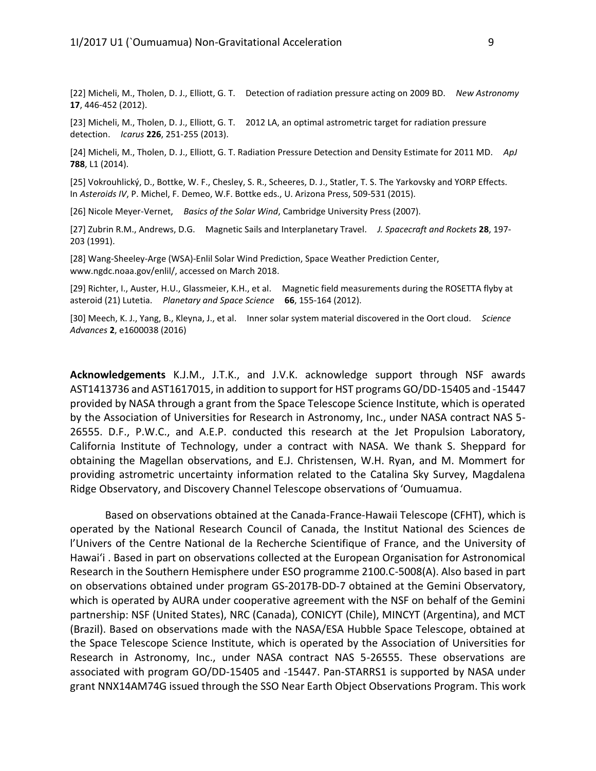[22] Micheli, M., Tholen, D. J., Elliott, G. T. Detection of radiation pressure acting on 2009 BD. *New Astronomy* **17**, 446-452 (2012).

[23] Micheli, M., Tholen, D. J., Elliott, G. T. 2012 LA, an optimal astrometric target for radiation pressure detection. *Icarus* **226**, 251-255 (2013).

[24] Micheli, M., Tholen, D. J., Elliott, G. T. Radiation Pressure Detection and Density Estimate for 2011 MD. *ApJ* **788**, L1 (2014).

[25] Vokrouhlický, D., Bottke, W. F., Chesley, S. R., Scheeres, D. J., Statler, T. S. The Yarkovsky and YORP Effects. In *Asteroids IV*, P. Michel, F. Demeo, W.F. Bottke eds., U. Arizona Press, 509-531 (2015).

[26] Nicole Meyer-Vernet, *Basics of the Solar Wind*, Cambridge University Press (2007).

[27] Zubrin R.M., Andrews, D.G. Magnetic Sails and Interplanetary Travel. *J. Spacecraft and Rockets* **28**, 197- 203 (1991).

[28] Wang-Sheeley-Arge (WSA)-Enlil Solar Wind Prediction, Space Weather Prediction Center, www.ngdc.noaa.gov/enlil/, accessed on March 2018.

[29] Richter, I., Auster, H.U., Glassmeier, K.H., et al. Magnetic field measurements during the ROSETTA flyby at asteroid (21) Lutetia. *Planetary and Space Science* **66**, 155-164 (2012).

[30] Meech, K. J., Yang, B., Kleyna, J., et al. Inner solar system material discovered in the Oort cloud. *Science Advances* **2**, e1600038 (2016)

**Acknowledgements** K.J.M., J.T.K., and J.V.K. acknowledge support through NSF awards AST1413736 and AST1617015, in addition to support for HST programs GO/DD-15405 and -15447 provided by NASA through a grant from the Space Telescope Science Institute, which is operated by the Association of Universities for Research in Astronomy, Inc., under NASA contract NAS 5- 26555. D.F., P.W.C., and A.E.P. conducted this research at the Jet Propulsion Laboratory, California Institute of Technology, under a contract with NASA. We thank S. Sheppard for obtaining the Magellan observations, and E.J. Christensen, W.H. Ryan, and M. Mommert for providing astrometric uncertainty information related to the Catalina Sky Survey, Magdalena Ridge Observatory, and Discovery Channel Telescope observations of ʻOumuamua.

Based on observations obtained at the Canada-France-Hawaii Telescope (CFHT), which is operated by the National Research Council of Canada, the Institut National des Sciences de l'Univers of the Centre National de la Recherche Scientifique of France, and the University of Hawai'i . Based in part on observations collected at the European Organisation for Astronomical Research in the Southern Hemisphere under ESO programme 2100.C-5008(A). Also based in part on observations obtained under program GS-2017B-DD-7 obtained at the Gemini Observatory, which is operated by AURA under cooperative agreement with the NSF on behalf of the Gemini partnership: NSF (United States), NRC (Canada), CONICYT (Chile), MINCYT (Argentina), and MCT (Brazil). Based on observations made with the NASA/ESA Hubble Space Telescope, obtained at the Space Telescope Science Institute, which is operated by the Association of Universities for Research in Astronomy, Inc., under NASA contract NAS 5-26555. These observations are associated with program GO/DD-15405 and -15447. Pan-STARRS1 is supported by NASA under grant NNX14AM74G issued through the SSO Near Earth Object Observations Program. This work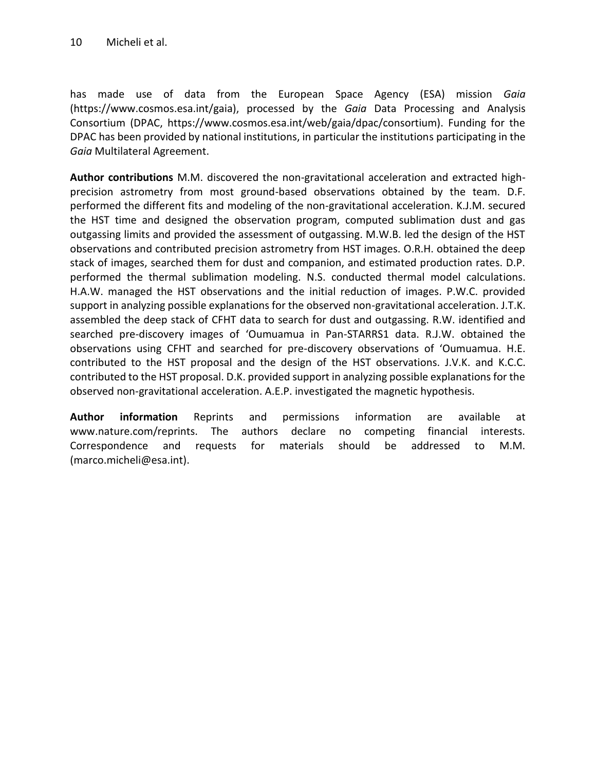has made use of data from the European Space Agency (ESA) mission *Gaia* (https://www.cosmos.esa.int/gaia), processed by the *Gaia* Data Processing and Analysis Consortium (DPAC, https://www.cosmos.esa.int/web/gaia/dpac/consortium). Funding for the DPAC has been provided by national institutions, in particular the institutions participating in the *Gaia* Multilateral Agreement.

**Author contributions** M.M. discovered the non-gravitational acceleration and extracted highprecision astrometry from most ground-based observations obtained by the team. D.F. performed the different fits and modeling of the non-gravitational acceleration. K.J.M. secured the HST time and designed the observation program, computed sublimation dust and gas outgassing limits and provided the assessment of outgassing. M.W.B. led the design of the HST observations and contributed precision astrometry from HST images. O.R.H. obtained the deep stack of images, searched them for dust and companion, and estimated production rates. D.P. performed the thermal sublimation modeling. N.S. conducted thermal model calculations. H.A.W. managed the HST observations and the initial reduction of images. P.W.C. provided support in analyzing possible explanations for the observed non-gravitational acceleration. J.T.K. assembled the deep stack of CFHT data to search for dust and outgassing. R.W. identified and searched pre-discovery images of ʻOumuamua in Pan-STARRS1 data. R.J.W. obtained the observations using CFHT and searched for pre-discovery observations of ʻOumuamua. H.E. contributed to the HST proposal and the design of the HST observations. J.V.K. and K.C.C. contributed to the HST proposal. D.K. provided support in analyzing possible explanations for the observed non-gravitational acceleration. A.E.P. investigated the magnetic hypothesis.

**Author information** Reprints and permissions information are available at www.nature.com/reprints. The authors declare no competing financial interests. Correspondence and requests for materials should be addressed to M.M. (marco.micheli@esa.int).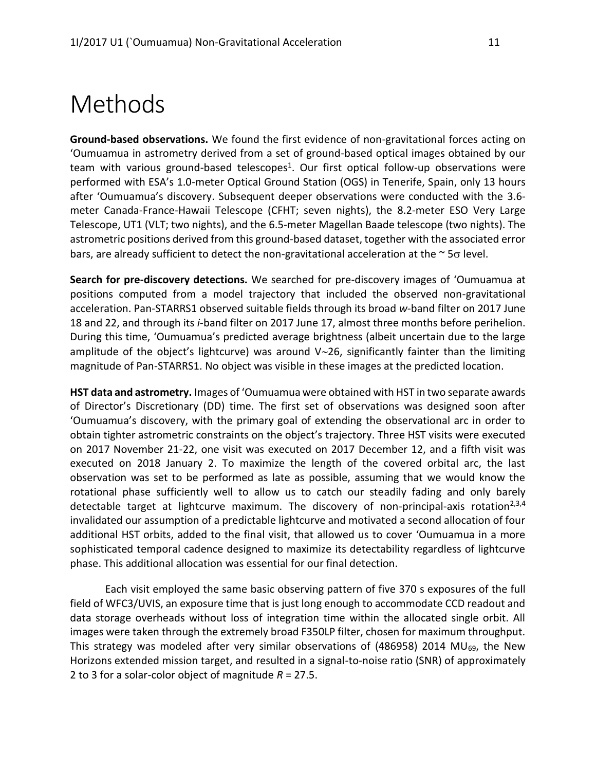### Methods

**Ground-based observations.** We found the first evidence of non-gravitational forces acting on ʻOumuamua in astrometry derived from a set of ground-based optical images obtained by our team with various ground-based telescopes<sup>1</sup>. Our first optical follow-up observations were performed with ESA's 1.0-meter Optical Ground Station (OGS) in Tenerife, Spain, only 13 hours after ʻOumuamua's discovery. Subsequent deeper observations were conducted with the 3.6 meter Canada-France-Hawaii Telescope (CFHT; seven nights), the 8.2-meter ESO Very Large Telescope, UT1 (VLT; two nights), and the 6.5-meter Magellan Baade telescope (two nights). The astrometric positions derived from this ground-based dataset, together with the associated error bars, are already sufficient to detect the non-gravitational acceleration at the  $\sim$  5 $\sigma$  level.

**Search for pre-discovery detections.** We searched for pre-discovery images of ʻOumuamua at positions computed from a model trajectory that included the observed non-gravitational acceleration. Pan-STARRS1 observed suitable fields through its broad *w*-band filter on 2017 June 18 and 22, and through its *i*-band filter on 2017 June 17, almost three months before perihelion. During this time, ʻOumuamua's predicted average brightness (albeit uncertain due to the large amplitude of the object's lightcurve) was around  $V~26$ , significantly fainter than the limiting magnitude of Pan-STARRS1. No object was visible in these images at the predicted location.

**HST data and astrometry.** Images of ʻOumuamua were obtained with HST in two separate awards of Director's Discretionary (DD) time. The first set of observations was designed soon after ʻOumuamua's discovery, with the primary goal of extending the observational arc in order to obtain tighter astrometric constraints on the object's trajectory. Three HST visits were executed on 2017 November 21-22, one visit was executed on 2017 December 12, and a fifth visit was executed on 2018 January 2. To maximize the length of the covered orbital arc, the last observation was set to be performed as late as possible, assuming that we would know the rotational phase sufficiently well to allow us to catch our steadily fading and only barely detectable target at lightcurve maximum. The discovery of non-principal-axis rotation<sup>2,3,4</sup> invalidated our assumption of a predictable lightcurve and motivated a second allocation of four additional HST orbits, added to the final visit, that allowed us to cover ʻOumuamua in a more sophisticated temporal cadence designed to maximize its detectability regardless of lightcurve phase. This additional allocation was essential for our final detection.

Each visit employed the same basic observing pattern of five 370 s exposures of the full field of WFC3/UVIS, an exposure time that is just long enough to accommodate CCD readout and data storage overheads without loss of integration time within the allocated single orbit. All images were taken through the extremely broad F350LP filter, chosen for maximum throughput. This strategy was modeled after very similar observations of (486958) 2014 MU $_{69}$ , the New Horizons extended mission target, and resulted in a signal-to-noise ratio (SNR) of approximately 2 to 3 for a solar-color object of magnitude *R* = 27.5.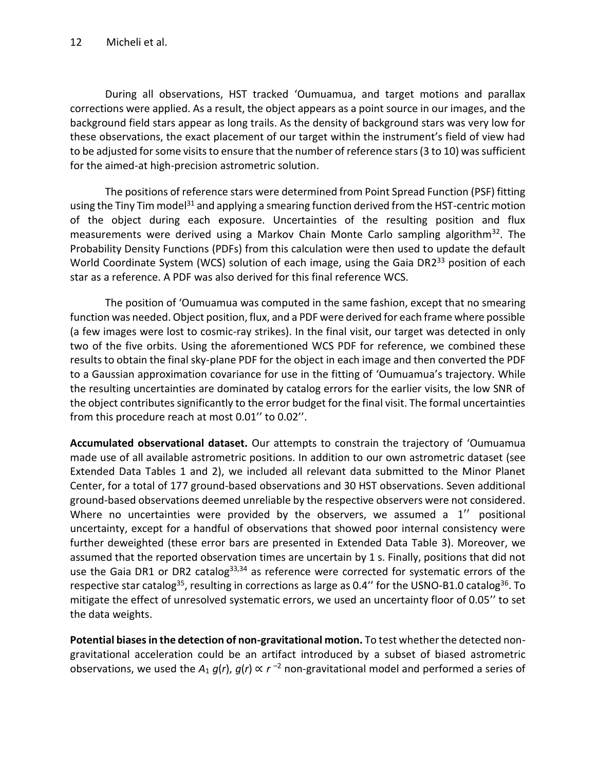During all observations, HST tracked ʻOumuamua, and target motions and parallax corrections were applied. As a result, the object appears as a point source in our images, and the background field stars appear as long trails. As the density of background stars was very low for these observations, the exact placement of our target within the instrument's field of view had to be adjusted for some visits to ensure that the number of reference stars (3 to 10) was sufficient for the aimed-at high-precision astrometric solution.

The positions of reference stars were determined from Point Spread Function (PSF) fitting using the Tiny Tim model<sup>31</sup> and applying a smearing function derived from the HST-centric motion of the object during each exposure. Uncertainties of the resulting position and flux measurements were derived using a Markov Chain Monte Carlo sampling algorithm<sup>32</sup>. The Probability Density Functions (PDFs) from this calculation were then used to update the default World Coordinate System (WCS) solution of each image, using the Gaia DR2<sup>33</sup> position of each star as a reference. A PDF was also derived for this final reference WCS.

The position of ʻOumuamua was computed in the same fashion, except that no smearing function was needed. Object position, flux, and a PDF were derived for each frame where possible (a few images were lost to cosmic-ray strikes). In the final visit, our target was detected in only two of the five orbits. Using the aforementioned WCS PDF for reference, we combined these results to obtain the final sky-plane PDF for the object in each image and then converted the PDF to a Gaussian approximation covariance for use in the fitting of ʻOumuamua's trajectory. While the resulting uncertainties are dominated by catalog errors for the earlier visits, the low SNR of the object contributes significantly to the error budget for the final visit. The formal uncertainties from this procedure reach at most 0.01'' to 0.02''.

**Accumulated observational dataset.** Our attempts to constrain the trajectory of ʻOumuamua made use of all available astrometric positions. In addition to our own astrometric dataset (see Extended Data Tables 1 and 2), we included all relevant data submitted to the Minor Planet Center, for a total of 177 ground-based observations and 30 HST observations. Seven additional ground-based observations deemed unreliable by the respective observers were not considered. Where no uncertainties were provided by the observers, we assumed a 1<sup>"</sup> positional uncertainty, except for a handful of observations that showed poor internal consistency were further deweighted (these error bars are presented in Extended Data Table 3). Moreover, we assumed that the reported observation times are uncertain by 1 s. Finally, positions that did not use the Gaia DR1 or DR2 catalog<sup>33,34</sup> as reference were corrected for systematic errors of the respective star catalog<sup>35</sup>, resulting in corrections as large as 0.4" for the USNO-B1.0 catalog<sup>36</sup>. To mitigate the effect of unresolved systematic errors, we used an uncertainty floor of 0.05'' to set the data weights.

**Potential biases in the detection of non-gravitational motion.** To test whether the detected nongravitational acceleration could be an artifact introduced by a subset of biased astrometric observations, we used the  $A_1$   $g(r)$ ,  $g(r) \propto r^{-2}$  non-gravitational model and performed a series of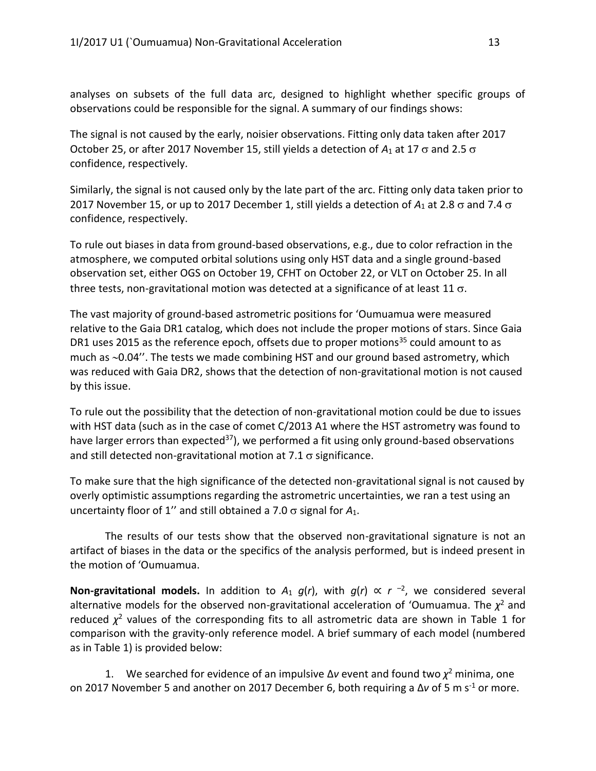analyses on subsets of the full data arc, designed to highlight whether specific groups of observations could be responsible for the signal. A summary of our findings shows:

The signal is not caused by the early, noisier observations. Fitting only data taken after 2017 October 25, or after 2017 November 15, still yields a detection of  $A_1$  at 17  $\sigma$  and 2.5  $\sigma$ confidence, respectively.

Similarly, the signal is not caused only by the late part of the arc. Fitting only data taken prior to 2017 November 15, or up to 2017 December 1, still yields a detection of  $A_1$  at 2.8  $\sigma$  and 7.4  $\sigma$ confidence, respectively.

To rule out biases in data from ground-based observations, e.g., due to color refraction in the atmosphere, we computed orbital solutions using only HST data and a single ground-based observation set, either OGS on October 19, CFHT on October 22, or VLT on October 25. In all three tests, non-gravitational motion was detected at a significance of at least 11  $\sigma$ .

The vast majority of ground-based astrometric positions for ʻOumuamua were measured relative to the Gaia DR1 catalog, which does not include the proper motions of stars. Since Gaia DR1 uses 2015 as the reference epoch, offsets due to proper motions<sup>35</sup> could amount to as much as  $\sim$ 0.04". The tests we made combining HST and our ground based astrometry, which was reduced with Gaia DR2, shows that the detection of non-gravitational motion is not caused by this issue.

To rule out the possibility that the detection of non-gravitational motion could be due to issues with HST data (such as in the case of comet C/2013 A1 where the HST astrometry was found to have larger errors than expected<sup>37</sup>), we performed a fit using only ground-based observations and still detected non-gravitational motion at  $7.1 \sigma$  significance.

To make sure that the high significance of the detected non-gravitational signal is not caused by overly optimistic assumptions regarding the astrometric uncertainties, we ran a test using an uncertainty floor of 1" and still obtained a 7.0  $\sigma$  signal for  $A_1$ .

The results of our tests show that the observed non-gravitational signature is not an artifact of biases in the data or the specifics of the analysis performed, but is indeed present in the motion of ʻOumuamua.

**Non-gravitational models.** In addition to  $A_1$   $g(r)$ , with  $g(r) \propto r^{-2}$ , we considered several alternative models for the observed non-gravitational acceleration of 'Oumuamua. The  $\chi^2$  and reduced  $\chi^2$  values of the corresponding fits to all astrometric data are shown in Table 1 for comparison with the gravity-only reference model. A brief summary of each model (numbered as in Table 1) is provided below:

1. We searched for evidence of an impulsive  $\Delta v$  event and found two  $\chi^2$  minima, one on 2017 November 5 and another on 2017 December 6, both requiring a  $\Delta v$  of 5 m s<sup>-1</sup> or more.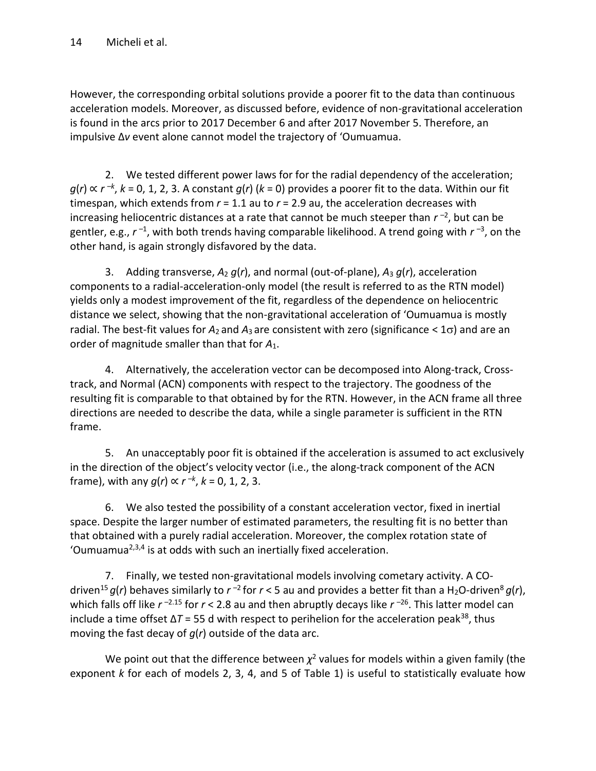However, the corresponding orbital solutions provide a poorer fit to the data than continuous acceleration models. Moreover, as discussed before, evidence of non-gravitational acceleration is found in the arcs prior to 2017 December 6 and after 2017 November 5. Therefore, an impulsive Δ*v* event alone cannot model the trajectory of ʻOumuamua.

2. We tested different power laws for for the radial dependency of the acceleration; *g*(*r*) ∝ *r*<sup>−*k*</sup>, *k* = 0, 1, 2, 3. A constant *g*(*r*) (*k* = 0) provides a poorer fit to the data. Within our fit timespan, which extends from *r* = 1.1 au to *r* = 2.9 au, the acceleration decreases with increasing heliocentric distances at a rate that cannot be much steeper than  $r^{-2}$ , but can be gentler, e.g.,  $r^{-1}$ , with both trends having comparable likelihood. A trend going with  $r^{-3}$ , on the other hand, is again strongly disfavored by the data.

3. Adding transverse, *A*<sup>2</sup> *g*(*r*), and normal (out-of-plane), *A*<sup>3</sup> *g*(*r*), acceleration components to a radial-acceleration-only model (the result is referred to as the RTN model) yields only a modest improvement of the fit, regardless of the dependence on heliocentric distance we select, showing that the non-gravitational acceleration of ʻOumuamua is mostly radial. The best-fit values for  $A_2$  and  $A_3$  are consistent with zero (significance  $\lt 1\sigma$ ) and are an order of magnitude smaller than that for *A*1.

4. Alternatively, the acceleration vector can be decomposed into Along-track, Crosstrack, and Normal (ACN) components with respect to the trajectory. The goodness of the resulting fit is comparable to that obtained by for the RTN. However, in the ACN frame all three directions are needed to describe the data, while a single parameter is sufficient in the RTN frame.

5. An unacceptably poor fit is obtained if the acceleration is assumed to act exclusively in the direction of the object's velocity vector (i.e., the along-track component of the ACN frame), with any *g*(*r*) ∝ *r –k* , *k* = 0, 1, 2, 3.

6. We also tested the possibility of a constant acceleration vector, fixed in inertial space. Despite the larger number of estimated parameters, the resulting fit is no better than that obtained with a purely radial acceleration. Moreover, the complex rotation state of 'Oumuamua<sup>2,3,4</sup> is at odds with such an inertially fixed acceleration.

7. Finally, we tested non-gravitational models involving cometary activity. A COdriven<sup>15</sup> g(r) behaves similarly to r<sup>-2</sup> for r < 5 au and provides a better fit than a H<sub>2</sub>O-driven<sup>8</sup> g(r), which falls off like *r*<sup>-2.15</sup> for *r* < 2.8 au and then abruptly decays like *r*<sup>-26</sup>. This latter model can include a time offset  $\Delta T$  = 55 d with respect to perihelion for the acceleration peak<sup>38</sup>, thus moving the fast decay of *g*(*r*) outside of the data arc.

We point out that the difference between  $\chi^2$  values for models within a given family (the exponent *k* for each of models 2, 3, 4, and 5 of Table 1) is useful to statistically evaluate how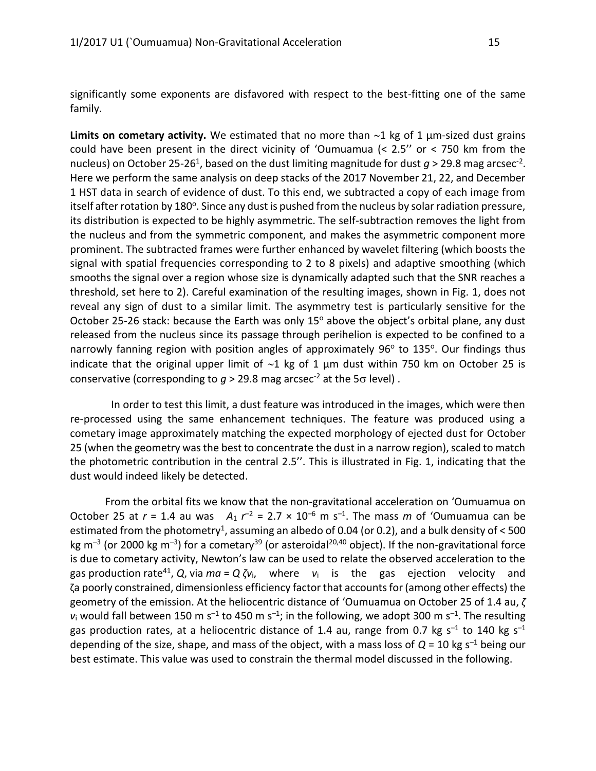significantly some exponents are disfavored with respect to the best-fitting one of the same family.

Limits on cometary activity. We estimated that no more than  $\sim$ 1 kg of 1  $\mu$ m-sized dust grains could have been present in the direct vicinity of ʻOumuamua (< 2.5'' or < 750 km from the nucleus) on October 25-26<sup>1</sup>, based on the dust limiting magnitude for dust  $g > 29.8$  mag arcsec<sup>-2</sup>. Here we perform the same analysis on deep stacks of the 2017 November 21, 22, and December 1 HST data in search of evidence of dust. To this end, we subtracted a copy of each image from itself after rotation by 180<sup>o</sup>. Since any dust is pushed from the nucleus by solar radiation pressure, its distribution is expected to be highly asymmetric. The self-subtraction removes the light from the nucleus and from the symmetric component, and makes the asymmetric component more prominent. The subtracted frames were further enhanced by wavelet filtering (which boosts the signal with spatial frequencies corresponding to 2 to 8 pixels) and adaptive smoothing (which smooths the signal over a region whose size is dynamically adapted such that the SNR reaches a threshold, set here to 2). Careful examination of the resulting images, shown in Fig. 1, does not reveal any sign of dust to a similar limit. The asymmetry test is particularly sensitive for the October 25-26 stack: because the Earth was only 15° above the object's orbital plane, any dust released from the nucleus since its passage through perihelion is expected to be confined to a narrowly fanning region with position angles of approximately 96° to 135°. Our findings thus indicate that the original upper limit of  $\sim$ 1 kg of 1 µm dust within 750 km on October 25 is conservative (corresponding to  $g > 29.8$  mag arcsec<sup>-2</sup> at the 5 $\sigma$  level).

In order to test this limit, a dust feature was introduced in the images, which were then re-processed using the same enhancement techniques. The feature was produced using a cometary image approximately matching the expected morphology of ejected dust for October 25 (when the geometry was the best to concentrate the dust in a narrow region), scaled to match the photometric contribution in the central 2.5''. This is illustrated in Fig. 1, indicating that the dust would indeed likely be detected.

From the orbital fits we know that the non-gravitational acceleration on ʻOumuamua on October 25 at  $r = 1.4$  au was  $A_1 r^{-2} = 2.7 \times 10^{-6}$  m s<sup>-1</sup>. The mass *m* of 'Oumuamua can be estimated from the photometry<sup>1</sup>, assuming an albedo of 0.04 (or 0.2), and a bulk density of  $<$  500 kg m<sup>-3</sup> (or 2000 kg m<sup>-3</sup>) for a cometary<sup>39</sup> (or asteroidal<sup>20,40</sup> object). If the non-gravitational force is due to cometary activity, Newton's law can be used to relate the observed acceleration to the gas production rate<sup>41</sup> , *Q*, via *ma* = *Q ζv*i, where *v*<sup>i</sup> is the gas ejection velocity and ζa poorly constrained, dimensionless efficiency factor that accounts for (among other effects) the geometry of the emission. At the heliocentric distance of ʻOumuamua on October 25 of 1.4 au, *ζ*  $v_i$  would fall between 150 m s<sup>-1</sup> to 450 m s<sup>-1</sup>; in the following, we adopt 300 m s<sup>-1</sup>. The resulting gas production rates, at a heliocentric distance of 1.4 au, range from 0.7 kg s<sup>-1</sup> to 140 kg s<sup>-1</sup> depending of the size, shape, and mass of the object, with a mass loss of *Q* = 10 kg s *–*<sup>1</sup> being our best estimate. This value was used to constrain the thermal model discussed in the following.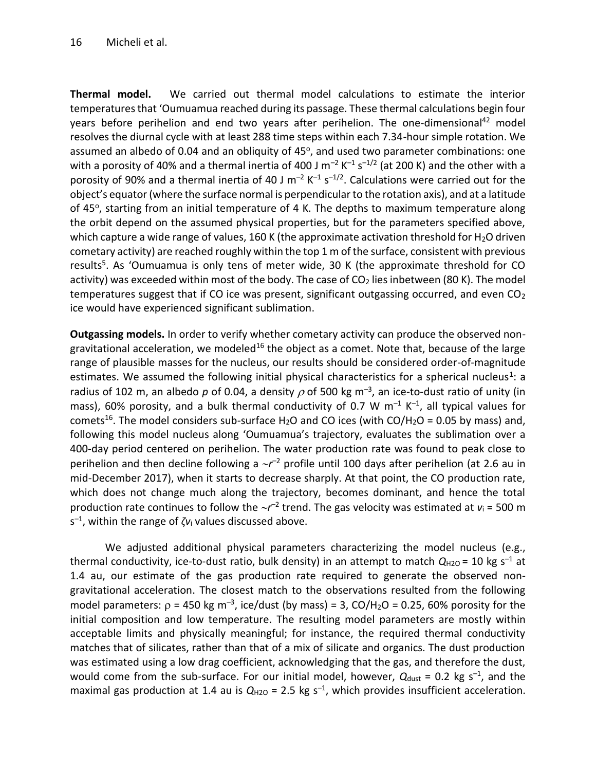**Thermal model.** We carried out thermal model calculations to estimate the interior temperatures that ʻOumuamua reached during its passage. These thermal calculations begin four years before perihelion and end two years after perihelion. The one-dimensional<sup>42</sup> model resolves the diurnal cycle with at least 288 time steps within each 7.34-hour simple rotation. We assumed an albedo of 0.04 and an obliquity of 45°, and used two parameter combinations: one with a porosity of 40% and a thermal inertia of 400 J m<sup>-2</sup> K<sup>-1</sup> s<sup>-1/2</sup> (at 200 K) and the other with a porosity of 90% and a thermal inertia of 40 J m<sup>-2</sup> K<sup>-1</sup> s<sup>-1/2</sup>. Calculations were carried out for the object's equator (where the surface normal is perpendicular to the rotation axis), and at a latitude of 45°, starting from an initial temperature of 4 K. The depths to maximum temperature along the orbit depend on the assumed physical properties, but for the parameters specified above, which capture a wide range of values, 160 K (the approximate activation threshold for  $H_2O$  driven cometary activity) are reached roughly within the top 1 m of the surface, consistent with previous results<sup>5</sup>. As 'Oumuamua is only tens of meter wide, 30 K (the approximate threshold for CO activity) was exceeded within most of the body. The case of  $CO<sub>2</sub>$  lies inbetween (80 K). The model temperatures suggest that if CO ice was present, significant outgassing occurred, and even  $CO<sub>2</sub>$ ice would have experienced significant sublimation.

**Outgassing models.** In order to verify whether cometary activity can produce the observed nongravitational acceleration, we modeled<sup>16</sup> the object as a comet. Note that, because of the large range of plausible masses for the nucleus, our results should be considered order-of-magnitude estimates. We assumed the following initial physical characteristics for a spherical nucleus<sup>1</sup>: a radius of 102 m, an albedo p of 0.04, a density  $\rho$  of 500 kg m<sup>-3</sup>, an ice-to-dust ratio of unity (in mass), 60% porosity, and a bulk thermal conductivity of 0.7 W m*–*<sup>1</sup> K *–*1 , all typical values for comets<sup>16</sup>. The model considers sub-surface H<sub>2</sub>O and CO ices (with CO/H<sub>2</sub>O = 0.05 by mass) and, following this model nucleus along ʻOumuamua's trajectory, evaluates the sublimation over a 400-day period centered on perihelion. The water production rate was found to peak close to perihelion and then decline following a  $\sim r^{-2}$  profile until 100 days after perihelion (at 2.6 au in mid-December 2017), when it starts to decrease sharply. At that point, the CO production rate, which does not change much along the trajectory, becomes dominant, and hence the total production rate continues to follow the  $\sim r^{-2}$  trend. The gas velocity was estimated at *v*<sub>i</sub> = 500 m s *–*1 , within the range of *ζv*<sup>i</sup> values discussed above.

We adjusted additional physical parameters characterizing the model nucleus (e.g., thermal conductivity, ice-to-dust ratio, bulk density) in an attempt to match  $Q_{H2O} = 10$  kg s<sup>-1</sup> at 1.4 au, our estimate of the gas production rate required to generate the observed nongravitational acceleration. The closest match to the observations resulted from the following model parameters:  $\rho = 450$  kg m<sup>-3</sup>, ice/dust (by mass) = 3, CO/H<sub>2</sub>O = 0.25, 60% porosity for the initial composition and low temperature. The resulting model parameters are mostly within acceptable limits and physically meaningful; for instance, the required thermal conductivity matches that of silicates, rather than that of a mix of silicate and organics. The dust production was estimated using a low drag coefficient, acknowledging that the gas, and therefore the dust, would come from the sub-surface. For our initial model, however,  $Q_{\text{dust}}$  = 0.2 kg s<sup>-1</sup>, and the maximal gas production at 1.4 au is  $Q_{H2O}$  = 2.5 kg s<sup>-1</sup>, which provides insufficient acceleration.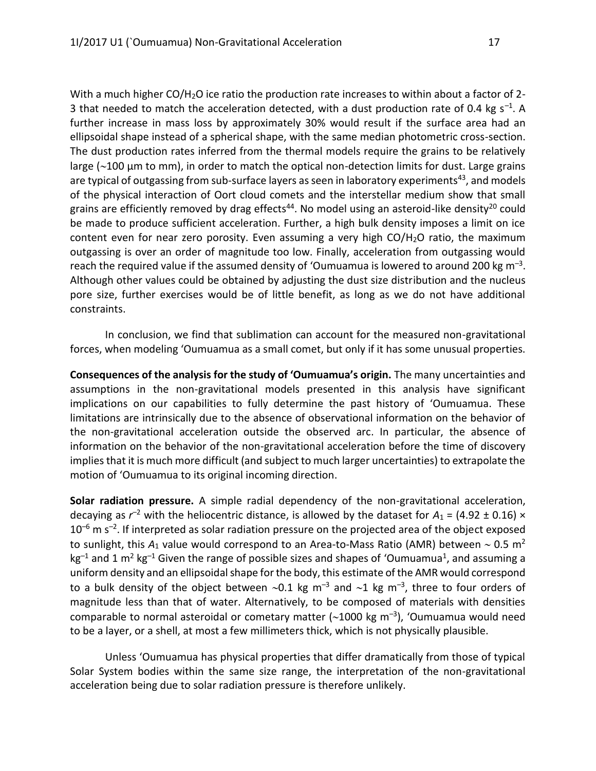With a much higher CO/H<sub>2</sub>O ice ratio the production rate increases to within about a factor of 2-3 that needed to match the acceleration detected, with a dust production rate of 0.4 kg s*–*<sup>1</sup> . A further increase in mass loss by approximately 30% would result if the surface area had an ellipsoidal shape instead of a spherical shape, with the same median photometric cross-section. The dust production rates inferred from the thermal models require the grains to be relatively large ( $\sim$ 100  $\mu$ m to mm), in order to match the optical non-detection limits for dust. Large grains are typical of outgassing from sub-surface layers as seen in laboratory experiments<sup>43</sup>, and models of the physical interaction of Oort cloud comets and the interstellar medium show that small grains are efficiently removed by drag effects<sup>44</sup>. No model using an asteroid-like density<sup>20</sup> could be made to produce sufficient acceleration. Further, a high bulk density imposes a limit on ice content even for near zero porosity. Even assuming a very high CO/H2O ratio, the maximum outgassing is over an order of magnitude too low. Finally, acceleration from outgassing would reach the required value if the assumed density of ʻOumuamua is lowered to around 200 kg m*–*<sup>3</sup> . Although other values could be obtained by adjusting the dust size distribution and the nucleus pore size, further exercises would be of little benefit, as long as we do not have additional constraints.

In conclusion, we find that sublimation can account for the measured non-gravitational forces, when modeling ʻOumuamua as a small comet, but only if it has some unusual properties.

**Consequences of the analysis for the study of ʻOumuamua's origin.** The many uncertainties and assumptions in the non-gravitational models presented in this analysis have significant implications on our capabilities to fully determine the past history of ʻOumuamua. These limitations are intrinsically due to the absence of observational information on the behavior of the non-gravitational acceleration outside the observed arc. In particular, the absence of information on the behavior of the non-gravitational acceleration before the time of discovery implies that it is much more difficult (and subject to much larger uncertainties) to extrapolate the motion of ʻOumuamua to its original incoming direction.

**Solar radiation pressure.** A simple radial dependency of the non-gravitational acceleration, decaying as  $r^{-2}$  with the heliocentric distance, is allowed by the dataset for  $A_1$  = (4.92  $\pm$  0.16)  $\times$ 10<sup>-6</sup> m s<sup>-2</sup>. If interpreted as solar radiation pressure on the projected area of the object exposed to sunlight, this  $A_1$  value would correspond to an Area-to-Mass Ratio (AMR) between  $\sim 0.5$  m<sup>2</sup> kg<sup>-1</sup> and 1 m<sup>2</sup> kg<sup>-1</sup> Given the range of possible sizes and shapes of 'Oumuamua<sup>1</sup>, and assuming a uniform density and an ellipsoidal shape for the body, this estimate of the AMR would correspond to a bulk density of the object between ~0.1 kg m<sup>-3</sup> and ~1 kg m<sup>-3</sup>, three to four orders of magnitude less than that of water. Alternatively, to be composed of materials with densities comparable to normal asteroidal or cometary matter (~1000 kg m<sup>-3</sup>), 'Oumuamua would need to be a layer, or a shell, at most a few millimeters thick, which is not physically plausible.

Unless ʻOumuamua has physical properties that differ dramatically from those of typical Solar System bodies within the same size range, the interpretation of the non-gravitational acceleration being due to solar radiation pressure is therefore unlikely.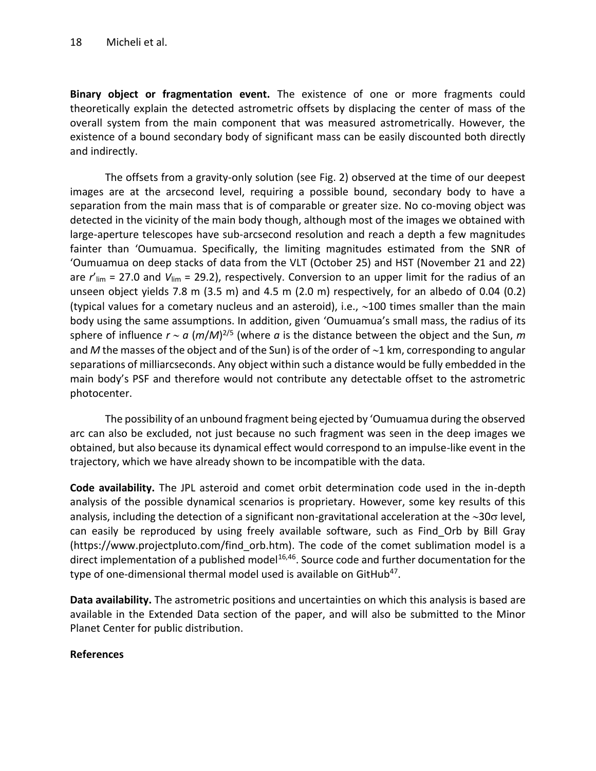**Binary object or fragmentation event.** The existence of one or more fragments could theoretically explain the detected astrometric offsets by displacing the center of mass of the overall system from the main component that was measured astrometrically. However, the existence of a bound secondary body of significant mass can be easily discounted both directly and indirectly.

The offsets from a gravity-only solution (see Fig. 2) observed at the time of our deepest images are at the arcsecond level, requiring a possible bound, secondary body to have a separation from the main mass that is of comparable or greater size. No co-moving object was detected in the vicinity of the main body though, although most of the images we obtained with large-aperture telescopes have sub-arcsecond resolution and reach a depth a few magnitudes fainter than ʻOumuamua. Specifically, the limiting magnitudes estimated from the SNR of ʻOumuamua on deep stacks of data from the VLT (October 25) and HST (November 21 and 22) are *r*'lim = 27.0 and *V*lim = 29.2), respectively. Conversion to an upper limit for the radius of an unseen object yields 7.8 m (3.5 m) and 4.5 m (2.0 m) respectively, for an albedo of 0.04 (0.2) (typical values for a cometary nucleus and an asteroid), i.e.,  $\sim$ 100 times smaller than the main body using the same assumptions. In addition, given ʻOumuamua's small mass, the radius of its sphere of influence *r a* (*m*/*M*) 2/5 (where *a* is the distance between the object and the Sun, *m* and *M* the masses of the object and of the Sun) is of the order of  $\sim$ 1 km, corresponding to angular separations of milliarcseconds. Any object within such a distance would be fully embedded in the main body's PSF and therefore would not contribute any detectable offset to the astrometric photocenter.

The possibility of an unbound fragment being ejected by ʻOumuamua during the observed arc can also be excluded, not just because no such fragment was seen in the deep images we obtained, but also because its dynamical effect would correspond to an impulse-like event in the trajectory, which we have already shown to be incompatible with the data.

**Code availability.** The JPL asteroid and comet orbit determination code used in the in-depth analysis of the possible dynamical scenarios is proprietary. However, some key results of this analysis, including the detection of a significant non-gravitational acceleration at the  $\sim$ 30 $\sigma$  level, can easily be reproduced by using freely available software, such as Find\_Orb by Bill Gray (https://www.projectpluto.com/find\_orb.htm). The code of the comet sublimation model is a direct implementation of a published model $16,46$ . Source code and further documentation for the type of one-dimensional thermal model used is available on GitHub<sup>47</sup>.

**Data availability.** The astrometric positions and uncertainties on which this analysis is based are available in the Extended Data section of the paper, and will also be submitted to the Minor Planet Center for public distribution.

### **References**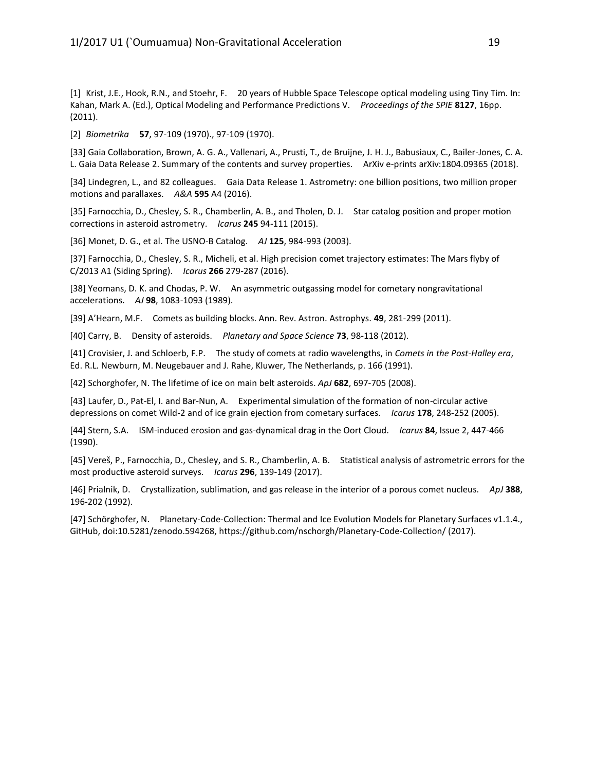[1] Krist, J.E., Hook, R.N., and Stoehr, F. 20 years of Hubble Space Telescope optical modeling using Tiny Tim. In: Kahan, Mark A. (Ed.), Optical Modeling and Performance Predictions V. *Proceedings of the SPIE* **8127**, 16pp. (2011).

[2] *Biometrika* **57**, 97-109 (1970)., 97-109 (1970).

[33] Gaia Collaboration, Brown, A. G. A., Vallenari, A., Prusti, T., de Bruijne, J. H. J., Babusiaux, C., Bailer-Jones, C. A. L. Gaia Data Release 2. Summary of the contents and survey properties. ArXiv e-prints arXiv:1804.09365 (2018).

[34] Lindegren, L., and 82 colleagues. Gaia Data Release 1. Astrometry: one billion positions, two million proper motions and parallaxes. *A&A* **595** A4 (2016).

[35] Farnocchia, D., Chesley, S. R., Chamberlin, A. B., and Tholen, D. J. Star catalog position and proper motion corrections in asteroid astrometry. *Icarus* **245** 94-111 (2015).

[36] Monet, D. G., et al. The USNO-B Catalog. *AJ* **125**, 984-993 (2003).

[37] Farnocchia, D., Chesley, S. R., Micheli, et al. High precision comet trajectory estimates: The Mars flyby of C/2013 A1 (Siding Spring). *Icarus* **266** 279-287 (2016).

[38] Yeomans, D. K. and Chodas, P. W. An asymmetric outgassing model for cometary nongravitational accelerations. *AJ* **98**, 1083-1093 (1989).

[39] A'Hearn, M.F. Comets as building blocks. Ann. Rev. Astron. Astrophys. **49**, 281-299 (2011).

[40] Carry, B. Density of asteroids. *Planetary and Space Science* **73**, 98-118 (2012).

[41] Crovisier, J. and Schloerb, F.P. The study of comets at radio wavelengths, in *Comets in the Post-Halley era*, Ed. R.L. Newburn, M. Neugebauer and J. Rahe, Kluwer, The Netherlands, p. 166 (1991).

[42] Schorghofer, N. The lifetime of ice on main belt asteroids. *ApJ* **682**, 697-705 (2008).

[43] Laufer, D., Pat-El, I. and Bar-Nun, A. Experimental simulation of the formation of non-circular active depressions on comet Wild-2 and of ice grain ejection from cometary surfaces. *Icarus* **178**, 248-252 (2005).

[44] Stern, S.A. ISM-induced erosion and gas-dynamical drag in the Oort Cloud. *Icarus* **84**, Issue 2, 447-466 (1990).

[45] Vereš, P., Farnocchia, D., Chesley, and S. R., Chamberlin, A. B. Statistical analysis of astrometric errors for the most productive asteroid surveys. *Icarus* **296**, 139-149 (2017).

[46] Prialnik, D. Crystallization, sublimation, and gas release in the interior of a porous comet nucleus. *ApJ* **388**, 196-202 (1992).

[47] Schörghofer, N. Planetary-Code-Collection: Thermal and Ice Evolution Models for Planetary Surfaces v1.1.4., GitHub, doi:10.5281/zenodo.594268, https://github.com/nschorgh/Planetary-Code-Collection/ (2017).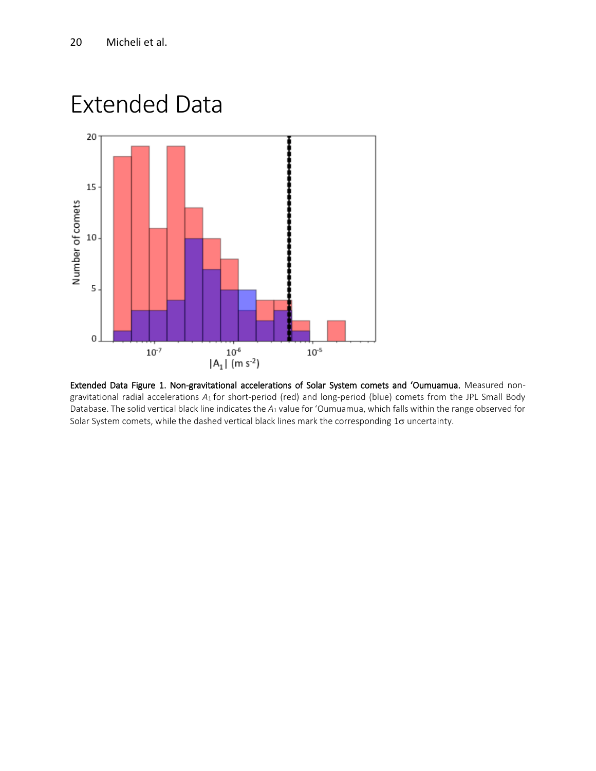## Extended Data



Extended Data Figure 1. Non-gravitational accelerations of Solar System comets and ʻOumuamua. Measured nongravitational radial accelerations *A*1 for short-period (red) and long-period (blue) comets from the JPL Small Body Database. The solid vertical black line indicates the *A*<sup>1</sup> value for ʻOumuamua, which falls within the range observed for Solar System comets, while the dashed vertical black lines mark the corresponding 1 $\sigma$  uncertainty.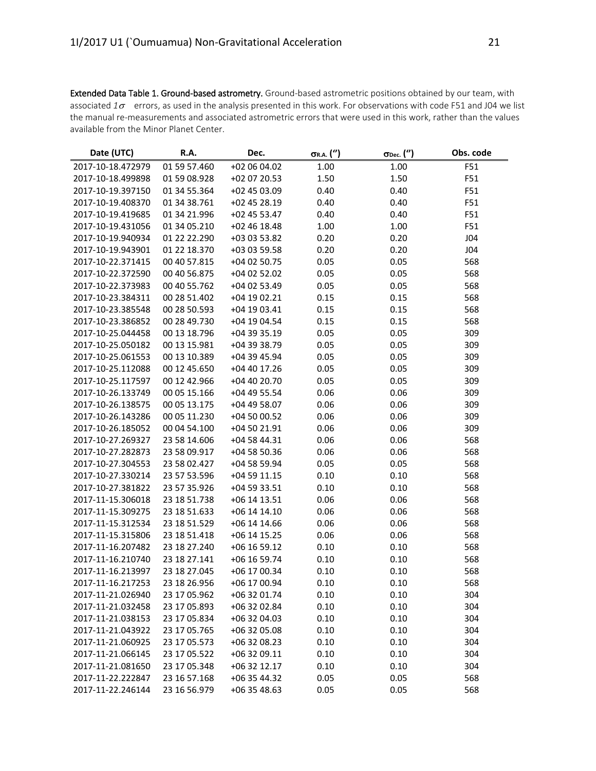Extended Data Table 1. Ground-based astrometry. Ground-based astrometric positions obtained by our team, with associated  $1\sigma$  errors, as used in the analysis presented in this work. For observations with code F51 and J04 we list the manual re-measurements and associated astrometric errors that were used in this work, rather than the values available from the Minor Planet Center.

| Date (UTC)        | R.A.         | Dec.         | $\sigma$ r.a. $('')$ | $\sigma$ Dec. $('')$ | Obs. code |
|-------------------|--------------|--------------|----------------------|----------------------|-----------|
| 2017-10-18.472979 | 01 59 57.460 | +02 06 04.02 | 1.00                 | 1.00                 | F51       |
| 2017-10-18.499898 | 01 59 08.928 | +02 07 20.53 | 1.50                 | 1.50                 | F51       |
| 2017-10-19.397150 | 01 34 55.364 | +02 45 03.09 | 0.40                 | 0.40                 | F51       |
| 2017-10-19.408370 | 01 34 38.761 | +02 45 28.19 | 0.40                 | 0.40                 | F51       |
| 2017-10-19.419685 | 01 34 21.996 | +02 45 53.47 | 0.40                 | 0.40                 | F51       |
| 2017-10-19.431056 | 01 34 05.210 | +02 46 18.48 | 1.00                 | 1.00                 | F51       |
| 2017-10-19.940934 | 01 22 22.290 | +03 03 53.82 | 0.20                 | 0.20                 | J04       |
| 2017-10-19.943901 | 01 22 18.370 | +03 03 59.58 | 0.20                 | 0.20                 | J04       |
| 2017-10-22.371415 | 00 40 57.815 | +04 02 50.75 | 0.05                 | 0.05                 | 568       |
| 2017-10-22.372590 | 00 40 56.875 | +04 02 52.02 | 0.05                 | 0.05                 | 568       |
| 2017-10-22.373983 | 00 40 55.762 | +04 02 53.49 | 0.05                 | 0.05                 | 568       |
| 2017-10-23.384311 | 00 28 51.402 | +04 19 02.21 | 0.15                 | 0.15                 | 568       |
| 2017-10-23.385548 | 00 28 50.593 | +04 19 03.41 | 0.15                 | 0.15                 | 568       |
| 2017-10-23.386852 | 00 28 49.730 | +04 19 04.54 | 0.15                 | 0.15                 | 568       |
| 2017-10-25.044458 | 00 13 18.796 | +04 39 35.19 | 0.05                 | 0.05                 | 309       |
| 2017-10-25.050182 | 00 13 15.981 | +04 39 38.79 | 0.05                 | 0.05                 | 309       |
| 2017-10-25.061553 | 00 13 10.389 | +04 39 45.94 | 0.05                 | 0.05                 | 309       |
| 2017-10-25.112088 | 00 12 45.650 | +04 40 17.26 | 0.05                 | 0.05                 | 309       |
| 2017-10-25.117597 | 00 12 42.966 | +04 40 20.70 | 0.05                 | 0.05                 | 309       |
| 2017-10-26.133749 | 00 05 15.166 | +04 49 55.54 | 0.06                 | 0.06                 | 309       |
| 2017-10-26.138575 | 00 05 13.175 | +04 49 58.07 | 0.06                 | 0.06                 | 309       |
| 2017-10-26.143286 | 00 05 11.230 | +04 50 00.52 | 0.06                 | 0.06                 | 309       |
| 2017-10-26.185052 | 00 04 54.100 | +04 50 21.91 | 0.06                 | 0.06                 | 309       |
| 2017-10-27.269327 | 23 58 14.606 | +04 58 44.31 | 0.06                 | 0.06                 | 568       |
| 2017-10-27.282873 | 23 58 09.917 | +04 58 50.36 | 0.06                 | 0.06                 | 568       |
| 2017-10-27.304553 | 23 58 02.427 | +04 58 59.94 | 0.05                 | 0.05                 | 568       |
| 2017-10-27.330214 | 23 57 53.596 | +04 59 11.15 | 0.10                 | 0.10                 | 568       |
| 2017-10-27.381822 | 23 57 35.926 | +04 59 33.51 | 0.10                 | 0.10                 | 568       |
| 2017-11-15.306018 | 23 18 51.738 | +06 14 13.51 | 0.06                 | 0.06                 | 568       |
| 2017-11-15.309275 | 23 18 51.633 | +06 14 14.10 | 0.06                 | 0.06                 | 568       |
| 2017-11-15.312534 | 23 18 51.529 | +06 14 14.66 | 0.06                 | 0.06                 | 568       |
| 2017-11-15.315806 | 23 18 51.418 | +06 14 15.25 | 0.06                 | 0.06                 | 568       |
| 2017-11-16.207482 | 23 18 27.240 | +06 16 59.12 | 0.10                 | 0.10                 | 568       |
| 2017-11-16.210740 | 23 18 27.141 | +06 16 59.74 | 0.10                 | 0.10                 | 568       |
| 2017-11-16.213997 | 23 18 27.045 | +06 17 00.34 | 0.10                 | 0.10                 | 568       |
| 2017-11-16.217253 | 23 18 26.956 | +06 17 00.94 | 0.10                 | 0.10                 | 568       |
| 2017-11-21.026940 | 23 17 05.962 | +06 32 01.74 | 0.10                 | 0.10                 | 304       |
| 2017-11-21.032458 | 23 17 05.893 | +06 32 02.84 | 0.10                 | 0.10                 | 304       |
| 2017-11-21.038153 | 23 17 05.834 | +06 32 04.03 | 0.10                 | 0.10                 | 304       |
| 2017-11-21.043922 | 23 17 05.765 | +06 32 05.08 | 0.10                 | 0.10                 | 304       |
| 2017-11-21.060925 | 23 17 05.573 | +06 32 08.23 | 0.10                 | 0.10                 | 304       |
| 2017-11-21.066145 | 23 17 05.522 | +06 32 09.11 | 0.10                 | 0.10                 | 304       |
| 2017-11-21.081650 | 23 17 05.348 | +06 32 12.17 | 0.10                 | 0.10                 | 304       |
| 2017-11-22.222847 | 23 16 57.168 | +06 35 44.32 | 0.05                 | 0.05                 | 568       |
| 2017-11-22.246144 | 23 16 56.979 | +06 35 48.63 | 0.05                 | 0.05                 | 568       |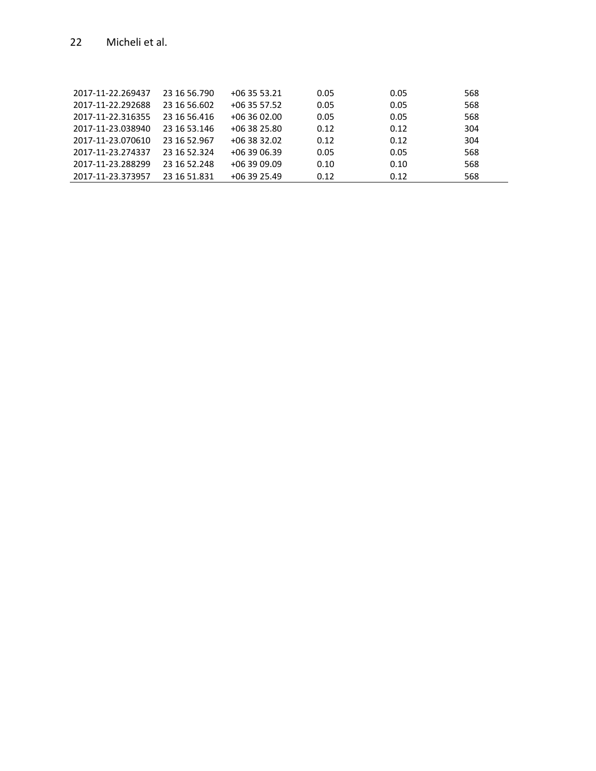| 2017-11-22.269437 | 23 16 56.790 | $+063553.21$ | 0.05 | 0.05 | 568 |
|-------------------|--------------|--------------|------|------|-----|
|                   |              |              |      |      |     |
| 2017-11-22.292688 | 23 16 56 602 | +06 35 57.52 | 0.05 | 0.05 | 568 |
| 2017-11-22.316355 | 23 16 56 416 | $+063602.00$ | 0.05 | 0.05 | 568 |
| 2017-11-23.038940 | 23 16 53 146 | $+063825.80$ | 0.12 | 0.12 | 304 |
| 2017-11-23.070610 | 23 16 52.967 | $+063832.02$ | 0.12 | 0.12 | 304 |
| 2017-11-23.274337 | 23 16 52.324 | $+063906.39$ | 0.05 | 0.05 | 568 |
| 2017-11-23.288299 | 23 16 52.248 | $+063909.09$ | 0.10 | 0.10 | 568 |
| 2017-11-23.373957 | 23 16 51.831 | $+063925.49$ | 0.12 | 0.12 | 568 |
|                   |              |              |      |      |     |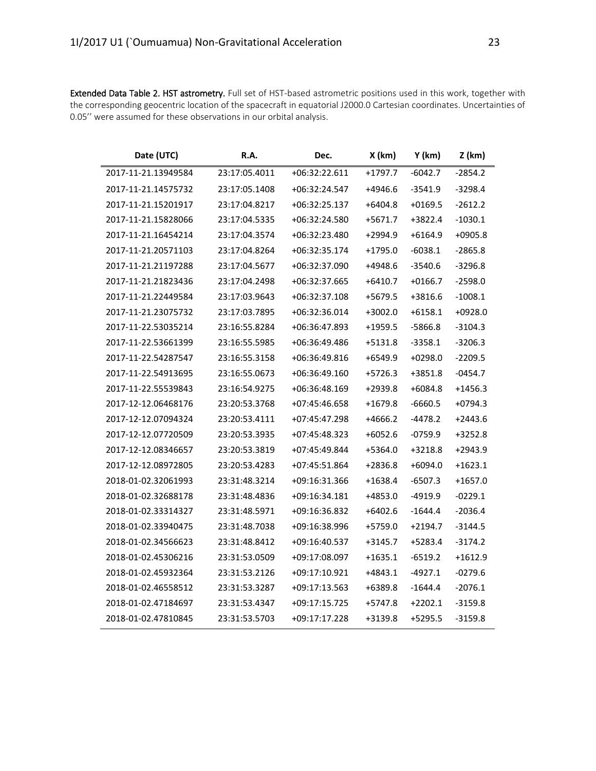Extended Data Table 2. HST astrometry. Full set of HST-based astrometric positions used in this work, together with the corresponding geocentric location of the spacecraft in equatorial J2000.0 Cartesian coordinates. Uncertainties of 0.05'' were assumed for these observations in our orbital analysis.

| Date (UTC)          | R.A.          | Dec.          | X (km)    | Y (km)    | $Z$ (km)  |
|---------------------|---------------|---------------|-----------|-----------|-----------|
| 2017-11-21.13949584 | 23:17:05.4011 | +06:32:22.611 | $+1797.7$ | $-6042.7$ | $-2854.2$ |
| 2017-11-21.14575732 | 23:17:05.1408 | +06:32:24.547 | +4946.6   | $-3541.9$ | $-3298.4$ |
| 2017-11-21.15201917 | 23:17:04.8217 | +06:32:25.137 | $+6404.8$ | $+0169.5$ | $-2612.2$ |
| 2017-11-21.15828066 | 23:17:04.5335 | +06:32:24.580 | $+5671.7$ | +3822.4   | $-1030.1$ |
| 2017-11-21.16454214 | 23:17:04.3574 | +06:32:23.480 | +2994.9   | $+6164.9$ | $+0905.8$ |
| 2017-11-21.20571103 | 23:17:04.8264 | +06:32:35.174 | $+1795.0$ | $-6038.1$ | $-2865.8$ |
| 2017-11-21.21197288 | 23:17:04.5677 | +06:32:37.090 | +4948.6   | $-3540.6$ | $-3296.8$ |
| 2017-11-21.21823436 | 23:17:04.2498 | +06:32:37.665 | $+6410.7$ | $+0166.7$ | $-2598.0$ |
| 2017-11-21.22449584 | 23:17:03.9643 | +06:32:37.108 | +5679.5   | +3816.6   | $-1008.1$ |
| 2017-11-21.23075732 | 23:17:03.7895 | +06:32:36.014 | $+3002.0$ | $+6158.1$ | $+0928.0$ |
| 2017-11-22.53035214 | 23:16:55.8284 | +06:36:47.893 | $+1959.5$ | $-5866.8$ | $-3104.3$ |
| 2017-11-22.53661399 | 23:16:55.5985 | +06:36:49.486 | $+5131.8$ | $-3358.1$ | $-3206.3$ |
| 2017-11-22.54287547 | 23:16:55.3158 | +06:36:49.816 | $+6549.9$ | $+0298.0$ | $-2209.5$ |
| 2017-11-22.54913695 | 23:16:55.0673 | +06:36:49.160 | $+5726.3$ | +3851.8   | $-0454.7$ |
| 2017-11-22.55539843 | 23:16:54.9275 | +06:36:48.169 | +2939.8   | $+6084.8$ | $+1456.3$ |
| 2017-12-12.06468176 | 23:20:53.3768 | +07:45:46.658 | $+1679.8$ | -6660.5   | $+0794.3$ |
| 2017-12-12.07094324 | 23:20:53.4111 | +07:45:47.298 | $+4666.2$ | $-4478.2$ | $+2443.6$ |
| 2017-12-12.07720509 | 23:20:53.3935 | +07:45:48.323 | $+6052.6$ | $-0759.9$ | $+3252.8$ |
| 2017-12-12.08346657 | 23:20:53.3819 | +07:45:49.844 | +5364.0   | $+3218.8$ | $+2943.9$ |
| 2017-12-12.08972805 | 23:20:53.4283 | +07:45:51.864 | +2836.8   | $+6094.0$ | $+1623.1$ |
| 2018-01-02.32061993 | 23:31:48.3214 | +09:16:31.366 | $+1638.4$ | -6507.3   | $+1657.0$ |
| 2018-01-02.32688178 | 23:31:48.4836 | +09:16:34.181 | +4853.0   | $-4919.9$ | $-0229.1$ |
| 2018-01-02.33314327 | 23:31:48.5971 | +09:16:36.832 | $+6402.6$ | $-1644.4$ | $-2036.4$ |
| 2018-01-02.33940475 | 23:31:48.7038 | +09:16:38.996 | +5759.0   | $+2194.7$ | $-3144.5$ |
| 2018-01-02.34566623 | 23:31:48.8412 | +09:16:40.537 | $+3145.7$ | +5283.4   | $-3174.2$ |
| 2018-01-02.45306216 | 23:31:53.0509 | +09:17:08.097 | $+1635.1$ | $-6519.2$ | $+1612.9$ |
| 2018-01-02.45932364 | 23:31:53.2126 | +09:17:10.921 | +4843.1   | $-4927.1$ | $-0279.6$ |
| 2018-01-02.46558512 | 23:31:53.3287 | +09:17:13.563 | +6389.8   | $-1644.4$ | $-2076.1$ |
| 2018-01-02.47184697 | 23:31:53.4347 | +09:17:15.725 | +5747.8   | $+2202.1$ | $-3159.8$ |
| 2018-01-02.47810845 | 23:31:53.5703 | +09:17:17.228 | +3139.8   | $+5295.5$ | $-3159.8$ |